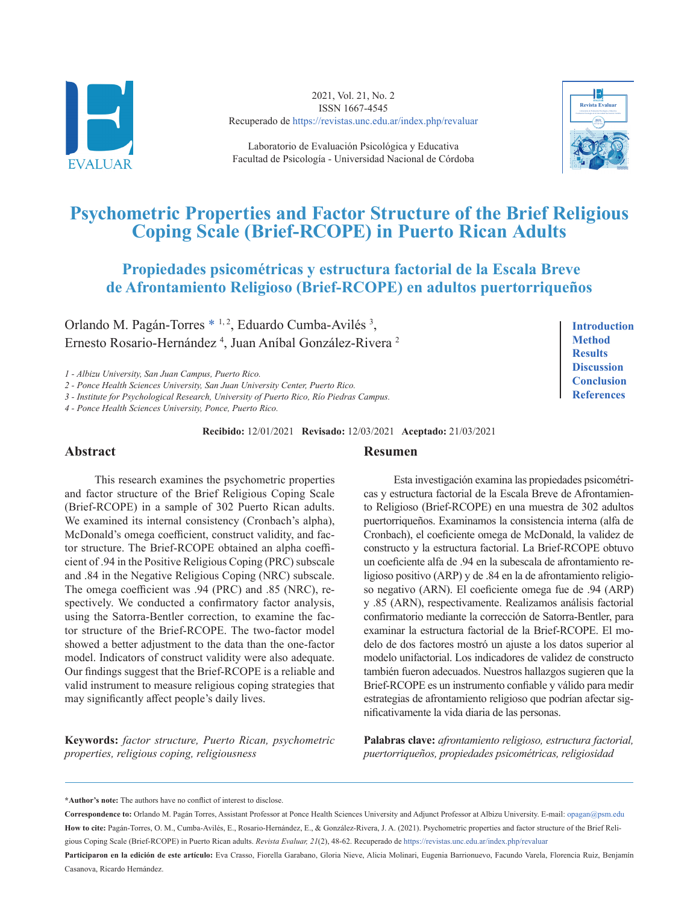

2021, Vol. 21, No. 2 ISSN 1667-4545 Recuperado de<https://revistas.unc.edu.ar/index.php/revaluar>

Laboratorio de Evaluación Psicológica y Educativa Facultad de Psicología - Universidad Nacional de Córdoba



# **Psychometric Properties and Factor Structure of the Brief Religious Coping Scale (Brief-RCOPE) in Puerto Rican Adults**

## **Propiedades psicométricas y estructura factorial de la Escala Breve de Afrontamiento Religioso (Brief-RCOPE) en adultos puertorriqueños**

Orlando M. Pagán-Torres [\\*](#page-0-0) <sup>1, 2</sup>, Eduardo Cumba-Avilés<sup>3</sup>, Ernesto Rosario-Hernández<sup>4</sup>, Juan Aníbal González-Rivera<sup>2</sup>

*1 - Albizu University, San Juan Campus, Puerto Rico.*

*2 - Ponce Health Sciences University, San Juan University Center, Puerto Rico.*

*3 - Institute for Psychological Research, University of Puerto Rico, Río Piedras Campus.*

*4 - Ponce Health Sciences University, Ponce, Puerto Rico.*

**Recibido:** 12/01/2021 **Revisado:** 12/03/2021 **Aceptado:** 21/03/2021

#### **Abstract**

This research examines the psychometric properties and factor structure of the Brief Religious Coping Scale (Brief-RCOPE) in a sample of 302 Puerto Rican adults. We examined its internal consistency (Cronbach's alpha), McDonald's omega coefficient, construct validity, and factor structure. The Brief-RCOPE obtained an alpha coefficient of .94 in the Positive Religious Coping (PRC) subscale and .84 in the Negative Religious Coping (NRC) subscale. The omega coefficient was .94 (PRC) and .85 (NRC), respectively. We conducted a confirmatory factor analysis, using the Satorra-Bentler correction, to examine the factor structure of the Brief-RCOPE. The two-factor model showed a better adjustment to the data than the one-factor model. Indicators of construct validity were also adequate. Our findings suggest that the Brief-RCOPE is a reliable and valid instrument to measure religious coping strategies that may significantly affect people's daily lives.

**Keywords:** *factor structure, Puerto Rican, psychometric properties, religious coping, religiousness*

#### **Resumen**

Esta investigación examina las propiedades psicométricas y estructura factorial de la Escala Breve de Afrontamiento Religioso (Brief-RCOPE) en una muestra de 302 adultos puertorriqueños. Examinamos la consistencia interna (alfa de Cronbach), el coeficiente omega de McDonald, la validez de constructo y la estructura factorial. La Brief-RCOPE obtuvo un coeficiente alfa de .94 en la subescala de afrontamiento religioso positivo (ARP) y de .84 en la de afrontamiento religioso negativo (ARN). El coeficiente omega fue de .94 (ARP) y .85 (ARN), respectivamente. Realizamos análisis factorial confirmatorio mediante la corrección de Satorra-Bentler, para examinar la estructura factorial de la Brief-RCOPE. El modelo de dos factores mostró un ajuste a los datos superior al modelo unifactorial. Los indicadores de validez de constructo también fueron adecuados. Nuestros hallazgos sugieren que la Brief-RCOPE es un instrumento confiable y válido para medir estrategias de afrontamiento religioso que podrían afectar significativamente la vida diaria de las personas.

**Palabras clave:** *afrontamiento religioso, estructura factorial, puertorriqueños, propiedades psicométricas, religiosidad*

<span id="page-0-0"></span>**\*Author's note:** The authors have no conflict of interest to disclose.

**Correspondence to:** Orlando M. Pagán Torres, Assistant Professor at Ponce Health Sciences University and Adjunct Professor at Albizu University. E-mail: [opagan@psm.edu](mailto:opagan%40psm.edu?subject=) **How to cite:** Pagán-Torres, O. M., Cumba-Avilés, E., Rosario-Hernández, E., & González-Rivera, J. A. (2021). Psychometric properties and factor structure of the Brief Religious Coping Scale (Brief-RCOPE) in Puerto Rican adults. *Revista Evaluar, 21*(2), 48-62. Recuperado de <https://revistas.unc.edu.ar/index.php/revaluar>

Participaron en la edición de este artículo: Eva Crasso, Fiorella Garabano, Gloria Nieve, Alicia Molinari, Eugenia Barrionuevo, Facundo Varela, Florencia Ruiz, Benjamín Casanova, Ricardo Hernández.

**[Introduction](#page-1-0) [Method](#page-4-0) [Results](#page-7-0) [Discussion](#page-9-0) [Conclusion](#page-11-0) [References](#page-12-0)**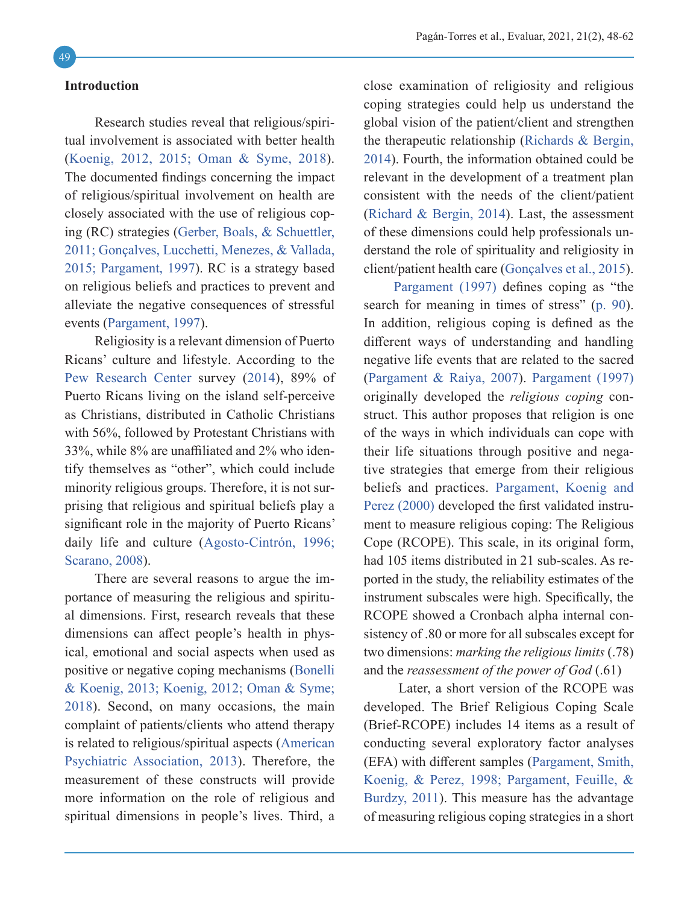#### <span id="page-1-0"></span>**Introduction**

Research studies reveal that religious/spiritual involvement is associated with better health ([Koenig, 2012,](#page-13-0) [2015](#page-13-1); [Oman & Syme, 2018](#page-13-2)). The documented findings concerning the impact of religious/spiritual involvement on health are closely associated with the use of religious coping (RC) strategies ([Gerber, Boals, & Schuettler,](#page-12-1) [2011](#page-12-1); Gonçalves, Lucchetti, Menezes, & Vallada, 2015; [Pargament, 1997](#page-13-3)). RC is a strategy based on religious beliefs and practices to prevent and alleviate the negative consequences of stressful events ([Pargament, 1997](#page-13-3)).

Religiosity is a relevant dimension of Puerto Ricans' culture and lifestyle. According to the Pew Research Center survey ([2014](#page-14-0)), 89% of Puerto Ricans living on the island self-perceive as Christians, distributed in Catholic Christians with 56%, followed by Protestant Christians with 33%, while 8% are unaffiliated and 2% who identify themselves as "other", which could include minority religious groups. Therefore, it is not surprising that religious and spiritual beliefs play a significant role in the majority of Puerto Ricans' daily life and culture (Agosto-Cintrón, 1996; [Scarano, 2008](#page-14-1)).

There are several reasons to argue the importance of measuring the religious and spiritual dimensions. First, research reveals that these dimensions can affect people's health in physical, emotional and social aspects when used as positive or negative coping mechanisms ([Bonelli](#page-12-2) [& Koenig, 2013](#page-12-2); [Koenig, 2012](#page-13-0); [Oman & Syme;](#page-13-2) [2018](#page-13-2)). Second, on many occasions, the main complaint of patients/clients who attend therapy is related to religious/spiritual aspects ([American](#page-12-3) [Psychiatric Association, 2013](#page-12-3)). Therefore, the measurement of these constructs will provide more information on the role of religious and spiritual dimensions in people's lives. Third, a

close examination of religiosity and religious coping strategies could help us understand the global vision of the patient/client and strengthen the therapeutic relationship ([Richards & Bergin,](#page-14-2) [2014](#page-14-2)). Fourth, the information obtained could be relevant in the development of a treatment plan consistent with the needs of the client/patient ([Richard & Bergin, 2014](#page-14-2)). Last, the assessment of these dimensions could help professionals understand the role of spirituality and religiosity in client/patient health care (Gonçalves et al., 2015).

[Pargament \(1997\)](#page-13-3) defines coping as "the search for meaning in times of stress" (p. 90). In addition, religious coping is defined as the different ways of understanding and handling negative life events that are related to the sacred ([Pargament & Raiya, 2007](#page-14-3)). [Pargament \(1997\)](#page-13-3) originally developed the *religious coping* construct. This author proposes that religion is one of the ways in which individuals can cope with their life situations through positive and negative strategies that emerge from their religious beliefs and practices. [Pargament, Koenig and](#page-14-4) [Perez \(2000\)](#page-14-4) developed the first validated instrument to measure religious coping: The Religious Cope (RCOPE). This scale, in its original form, had 105 items distributed in 21 sub-scales. As reported in the study, the reliability estimates of the instrument subscales were high. Specifically, the RCOPE showed a Cronbach alpha internal consistency of .80 or more for all subscales except for two dimensions: *marking the religious limits* (.78) and the *reassessment of the power of God* (.61)

 Later, a short version of the RCOPE was developed. The Brief Religious Coping Scale (Brief-RCOPE) includes 14 items as a result of conducting several exploratory factor analyses (EFA) with different samples ([Pargament, Smith,](#page-14-5) [Koenig, & Perez, 1998](#page-14-5); [Pargament, Feuille, &](#page-13-4) [Burdzy, 2011](#page-13-4)). This measure has the advantage of measuring religious coping strategies in a short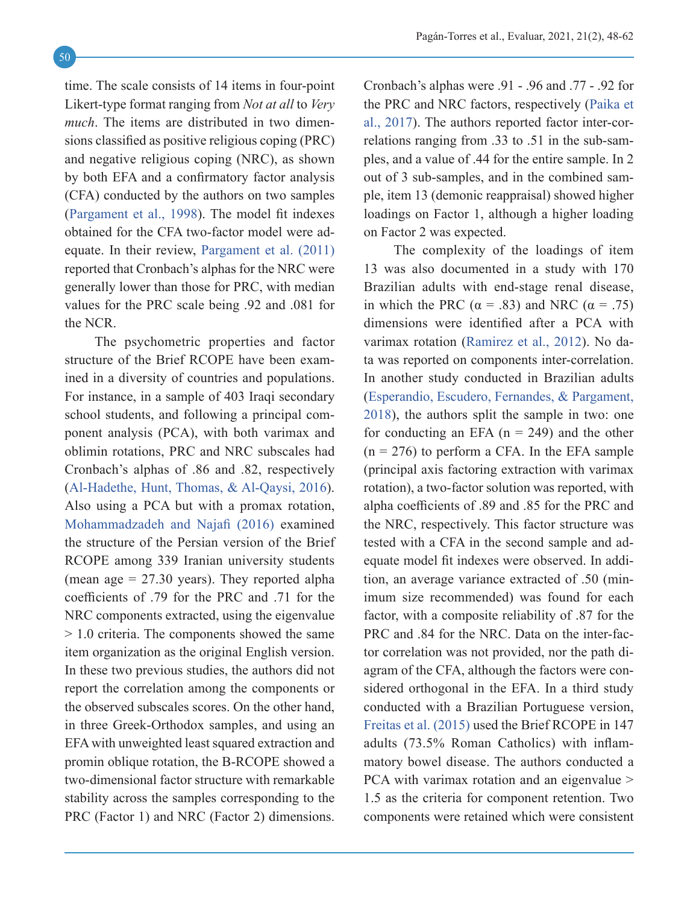time. The scale consists of 14 items in four-point Likert-type format ranging from *Not at all* to *Very much*. The items are distributed in two dimensions classified as positive religious coping (PRC) and negative religious coping (NRC), as shown by both EFA and a confirmatory factor analysis (CFA) conducted by the authors on two samples ([Pargament et al., 1998](#page-14-5)). The model fit indexes obtained for the CFA two-factor model were adequate. In their review, [Pargament et al. \(2011\)](#page-13-4) reported that Cronbach's alphas for the NRC were generally lower than those for PRC, with median values for the PRC scale being .92 and .081 for the NCR.

The psychometric properties and factor structure of the Brief RCOPE have been examined in a diversity of countries and populations. For instance, in a sample of 403 Iraqi secondary school students, and following a principal component analysis (PCA), with both varimax and oblimin rotations, PRC and NRC subscales had Cronbach's alphas of .86 and .82, respectively ([Al-Hadethe, Hunt, Thomas, & Al-Qaysi, 2016](#page-12-4)). Also using a PCA but with a promax rotation, [Mohammadzadeh and Najafi \(2016\)](#page-13-5) examined the structure of the Persian version of the Brief RCOPE among 339 Iranian university students (mean age  $= 27.30$  years). They reported alpha coefficients of .79 for the PRC and .71 for the NRC components extracted, using the eigenvalue > 1.0 criteria. The components showed the same item organization as the original English version. In these two previous studies, the authors did not report the correlation among the components or the observed subscales scores. On the other hand, in three Greek-Orthodox samples, and using an EFA with unweighted least squared extraction and promin oblique rotation, the B-RCOPE showed a two-dimensional factor structure with remarkable stability across the samples corresponding to the PRC (Factor 1) and NRC (Factor 2) dimensions.

Cronbach's alphas were .91 - .96 and .77 - .92 for the PRC and NRC factors, respectively ([Paika et](#page-13-6) [al., 2017](#page-13-6)). The authors reported factor inter-correlations ranging from .33 to .51 in the sub-samples, and a value of .44 for the entire sample. In 2 out of 3 sub-samples, and in the combined sample, item 13 (demonic reappraisal) showed higher loadings on Factor 1, although a higher loading on Factor 2 was expected.

The complexity of the loadings of item 13 was also documented in a study with 170 Brazilian adults with end-stage renal disease, in which the PRC ( $\alpha$  = .83) and NRC ( $\alpha$  = .75) dimensions were identified after a PCA with varimax rotation (Ramirez et al., 2012). No data was reported on components inter-correlation. In another study conducted in Brazilian adults ([Esperandio, Escudero, Fernandes, & Pargament,](#page-12-5) [2018](#page-12-5)), the authors split the sample in two: one for conducting an EFA  $(n = 249)$  and the other  $(n = 276)$  to perform a CFA. In the EFA sample (principal axis factoring extraction with varimax rotation), a two-factor solution was reported, with alpha coefficients of .89 and .85 for the PRC and the NRC, respectively. This factor structure was tested with a CFA in the second sample and adequate model fit indexes were observed. In addition, an average variance extracted of .50 (minimum size recommended) was found for each factor, with a composite reliability of .87 for the PRC and .84 for the NRC. Data on the inter-factor correlation was not provided, nor the path diagram of the CFA, although the factors were considered orthogonal in the EFA. In a third study conducted with a Brazilian Portuguese version, [Freitas et al. \(2015\)](#page-12-6) used the Brief RCOPE in 147 adults (73.5% Roman Catholics) with inflammatory bowel disease. The authors conducted a PCA with varimax rotation and an eigenvalue > 1.5 as the criteria for component retention. Two components were retained which were consistent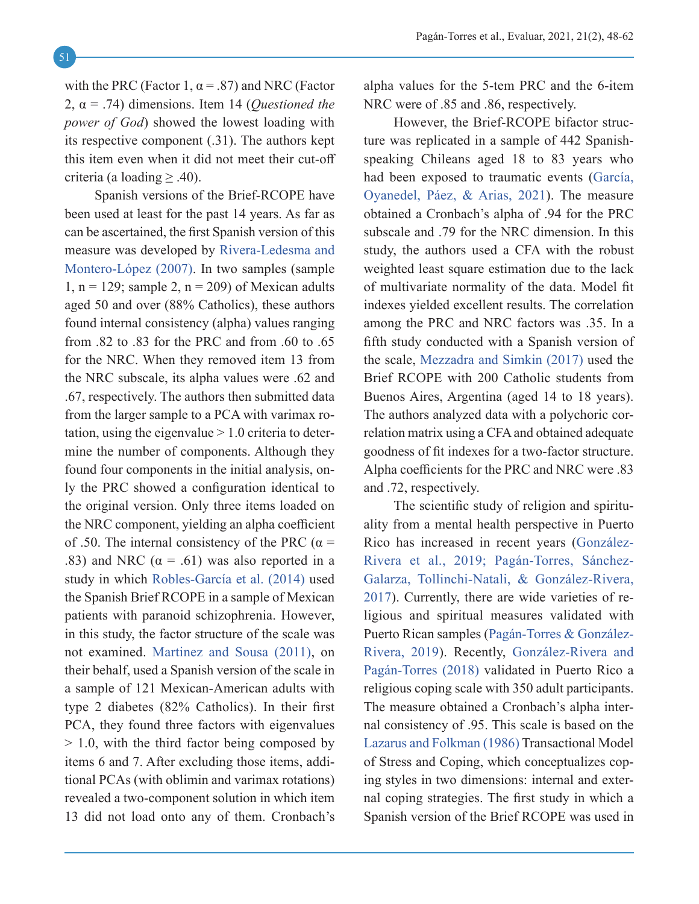with the PRC (Factor 1,  $\alpha$  = .87) and NRC (Factor 2, α = .74) dimensions. Item 14 (*Questioned the power of God*) showed the lowest loading with its respective component (.31). The authors kept this item even when it did not meet their cut-off criteria (a loading  $\geq$  .40).

Spanish versions of the Brief-RCOPE have been used at least for the past 14 years. As far as can be ascertained, the first Spanish version of this measure was developed by Rivera-Ledesma and Montero-López (2007). In two samples (sample 1,  $n = 129$ ; sample 2,  $n = 209$ ) of Mexican adults aged 50 and over (88% Catholics), these authors found internal consistency (alpha) values ranging from .82 to .83 for the PRC and from .60 to .65 for the NRC. When they removed item 13 from the NRC subscale, its alpha values were .62 and .67, respectively. The authors then submitted data from the larger sample to a PCA with varimax rotation, using the eigenvalue  $> 1.0$  criteria to determine the number of components. Although they found four components in the initial analysis, only the PRC showed a configuration identical to the original version. Only three items loaded on the NRC component, yielding an alpha coefficient of .50. The internal consistency of the PRC ( $\alpha$  = .83) and NRC  $(\alpha = .61)$  was also reported in a study in which Robles-García et al. (2014) used the Spanish Brief RCOPE in a sample of Mexican patients with paranoid schizophrenia. However, in this study, the factor structure of the scale was not examined. [Martinez and Sousa \(2011\),](#page-13-7) on their behalf, used a Spanish version of the scale in a sample of 121 Mexican-American adults with type 2 diabetes (82% Catholics). In their first PCA, they found three factors with eigenvalues > 1.0, with the third factor being composed by items 6 and 7. After excluding those items, additional PCAs (with oblimin and varimax rotations) revealed a two-component solution in which item 13 did not load onto any of them. Cronbach's alpha values for the 5-tem PRC and the 6-item NRC were of  $.85$  and  $.86$ , respectively.

However, the Brief-RCOPE bifactor structure was replicated in a sample of 442 Spanishspeaking Chileans aged 18 to 83 years who had been exposed to traumatic events (García, Oyanedel, Páez, & Arias, 2021). The measure obtained a Cronbach's alpha of .94 for the PRC subscale and .79 for the NRC dimension. In this study, the authors used a CFA with the robust weighted least square estimation due to the lack of multivariate normality of the data. Model fit indexes yielded excellent results. The correlation among the PRC and NRC factors was .35. In a fifth study conducted with a Spanish version of the scale, [Mezzadra and Simkin \(2017\)](#page-13-8) used the Brief RCOPE with 200 Catholic students from Buenos Aires, Argentina (aged 14 to 18 years). The authors analyzed data with a polychoric correlation matrix using a CFA and obtained adequate goodness of fit indexes for a two-factor structure. Alpha coefficients for the PRC and NRC were .83 and .72, respectively.

The scientific study of religion and spirituality from a mental health perspective in Puerto Rico has increased in recent years (González-Rivera et al., 2019; Pagán-Torres, Sánchez-Galarza, Tollinchi-Natali, & González-Rivera, 2017). Currently, there are wide varieties of religious and spiritual measures validated with Puerto Rican samples (Pagán-Torres & González-Rivera, 2019). Recently, González-Rivera and Pagán-Torres (2018) validated in Puerto Rico a religious coping scale with 350 adult participants. The measure obtained a Cronbach's alpha internal consistency of .95. This scale is based on the [Lazarus and Folkman \(1986\)](#page-13-9) Transactional Model of Stress and Coping, which conceptualizes coping styles in two dimensions: internal and external coping strategies. The first study in which a Spanish version of the Brief RCOPE was used in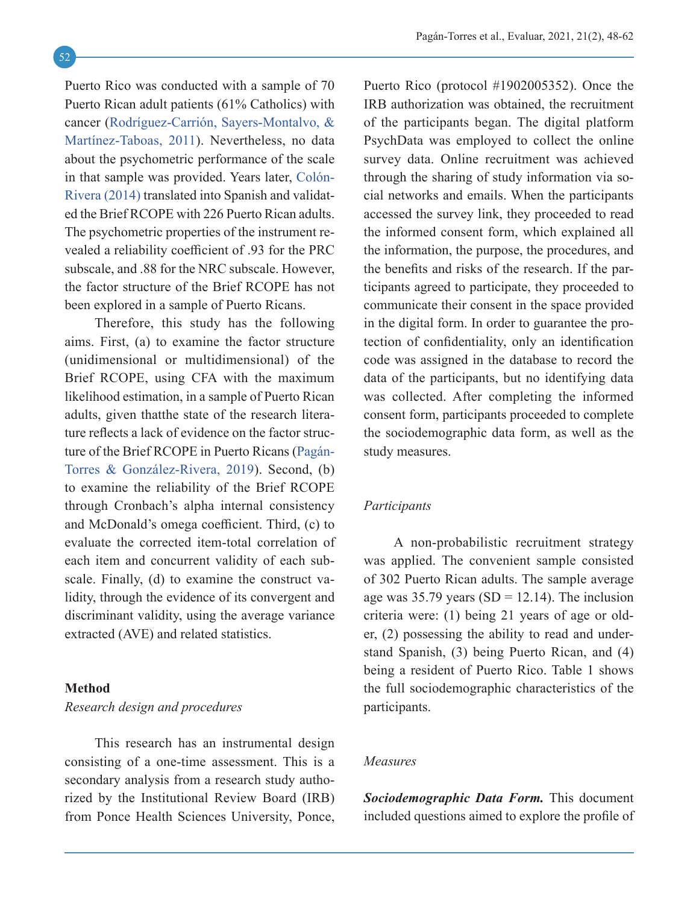Puerto Rico was conducted with a sample of 70 Puerto Rican adult patients (61% Catholics) with cancer (Rodríguez-Carrión, Sayers-Montalvo, & Martínez-Taboas, 2011). Nevertheless, no data about the psychometric performance of the scale in that sample was provided. Years later, Colón-Rivera (2014) translated into Spanish and validated the Brief RCOPE with 226 Puerto Rican adults. The psychometric properties of the instrument revealed a reliability coefficient of .93 for the PRC subscale, and .88 for the NRC subscale. However, the factor structure of the Brief RCOPE has not been explored in a sample of Puerto Ricans.

Therefore, this study has the following aims. First, (a) to examine the factor structure (unidimensional or multidimensional) of the Brief RCOPE, using CFA with the maximum likelihood estimation, in a sample of Puerto Rican adults, given thatthe state of the research literature reflects a lack of evidence on the factor structure of the Brief RCOPE in Puerto Ricans (Pagán-Torres & González-Rivera, 2019). Second, (b) to examine the reliability of the Brief RCOPE through Cronbach's alpha internal consistency and McDonald's omega coefficient. Third, (c) to evaluate the corrected item-total correlation of each item and concurrent validity of each subscale. Finally, (d) to examine the construct validity, through the evidence of its convergent and discriminant validity, using the average variance extracted (AVE) and related statistics.

## <span id="page-4-0"></span>**Method** *Research design and procedures*

This research has an instrumental design consisting of a one-time assessment. This is a secondary analysis from a research study authorized by the Institutional Review Board (IRB) from Ponce Health Sciences University, Ponce,

Puerto Rico (protocol #1902005352). Once the IRB authorization was obtained, the recruitment of the participants began. The digital platform PsychData was employed to collect the online survey data. Online recruitment was achieved through the sharing of study information via social networks and emails. When the participants accessed the survey link, they proceeded to read the informed consent form, which explained all the information, the purpose, the procedures, and the benefits and risks of the research. If the participants agreed to participate, they proceeded to communicate their consent in the space provided in the digital form. In order to guarantee the protection of confidentiality, only an identification code was assigned in the database to record the data of the participants, but no identifying data was collected. After completing the informed consent form, participants proceeded to complete the sociodemographic data form, as well as the study measures.

## *Participants*

A non-probabilistic recruitment strategy was applied. The convenient sample consisted of 302 Puerto Rican adults. The sample average age was 35.79 years (SD = 12.14). The inclusion criteria were: (1) being 21 years of age or older, (2) possessing the ability to read and understand Spanish, (3) being Puerto Rican, and (4) being a resident of Puerto Rico. Table 1 shows the full sociodemographic characteristics of the participants.

#### *Measures*

*Sociodemographic Data Form.* This document included questions aimed to explore the profile of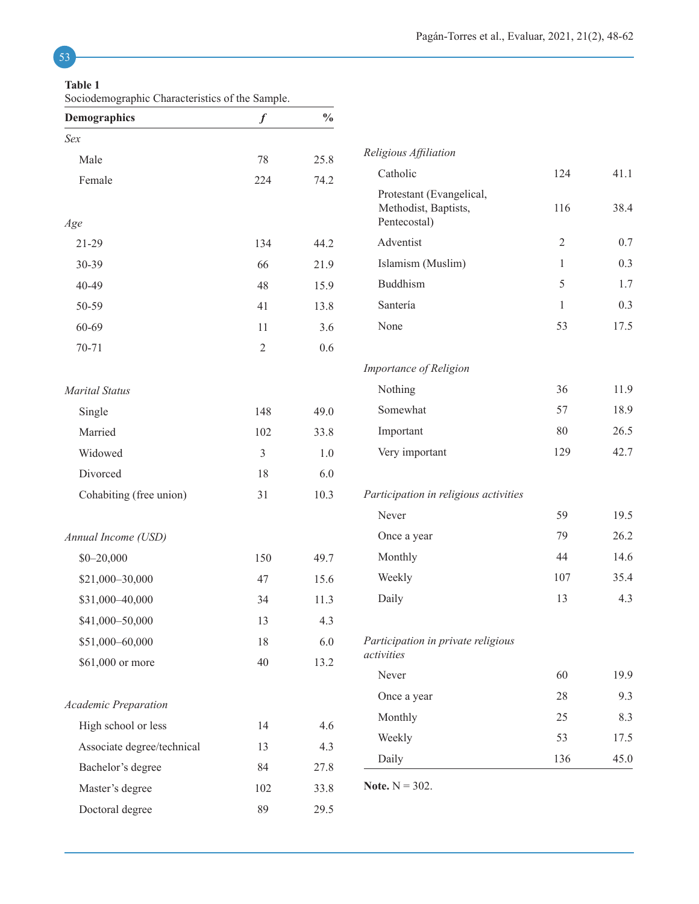## 53

#### **Table 1**

Sociodemographic Characteristics of the Sample.

| <b>Demographics</b>         | $\boldsymbol{f}$ | $\frac{0}{0}$    |                                                                  |                |      |
|-----------------------------|------------------|------------------|------------------------------------------------------------------|----------------|------|
| Sex                         |                  |                  |                                                                  |                |      |
| Male                        | 78               | 25.8             | Religious Affiliation                                            |                |      |
| Female                      | 224              | Catholic<br>74.2 |                                                                  | 124            | 41.1 |
| Age                         |                  |                  | Protestant (Evangelical,<br>Methodist, Baptists,<br>Pentecostal) | 116            | 38.4 |
| $21-29$                     | 134              | 44.2             | Adventist                                                        | $\overline{2}$ | 0.7  |
| 30-39                       | 66               | 21.9             | Islamism (Muslim)                                                | $\mathbf{1}$   | 0.3  |
| 40-49                       | 48               | 15.9             | Buddhism                                                         | 5              | 1.7  |
| 50-59                       | 41               | 13.8             | Santería                                                         | $\mathbf{1}$   | 0.3  |
| 60-69                       | 11               | 3.6              | None                                                             | 53             | 17.5 |
| $70 - 71$                   | $\sqrt{2}$       | 0.6              |                                                                  |                |      |
|                             |                  |                  | Importance of Religion                                           |                |      |
| <b>Marital Status</b>       |                  |                  | Nothing                                                          | 36             | 11.9 |
| Single                      | 148              | 49.0             | Somewhat                                                         | 57             | 18.9 |
| Married                     | 102              | 33.8             | Important                                                        | 80             | 26.5 |
| Widowed                     | 3                | $1.0\,$          | Very important                                                   | 129            | 42.7 |
| Divorced                    | 18               | 6.0              |                                                                  |                |      |
| Cohabiting (free union)     | 31               | 10.3             | Participation in religious activities                            |                |      |
|                             |                  |                  | Never                                                            | 59             | 19.5 |
| Annual Income (USD)         |                  |                  | Once a year                                                      | 79             | 26.2 |
| $$0 - 20,000$               | 150              | 49.7             | Monthly                                                          | 44             | 14.6 |
| \$21,000-30,000             | 47               | 15.6             | Weekly                                                           | 107            | 35.4 |
| \$31,000-40,000             | 34               | 11.3             | Daily                                                            | 13             | 4.3  |
| \$41,000-50,000             | 13               | 4.3              |                                                                  |                |      |
| \$51,000-60,000             | 18               | 6.0              | Participation in private religious                               |                |      |
| \$61,000 or more            | 40               | 13.2             | activities                                                       |                |      |
|                             |                  |                  | Never                                                            | 60             | 19.9 |
| <b>Academic Preparation</b> |                  |                  | Once a year                                                      | 28             | 9.3  |
| High school or less         | 14               | 4.6              | Monthly                                                          | 25             | 8.3  |
| Associate degree/technical  | 13               | 4.3              | Weekly                                                           | 53             | 17.5 |
| Bachelor's degree           | 84               | 27.8             | Daily                                                            | 136            | 45.0 |
| Master's degree             | 102              | 33.8             | <b>Note.</b> $N = 302$ .                                         |                |      |
| Doctoral degree             | 89               | 29.5             |                                                                  |                |      |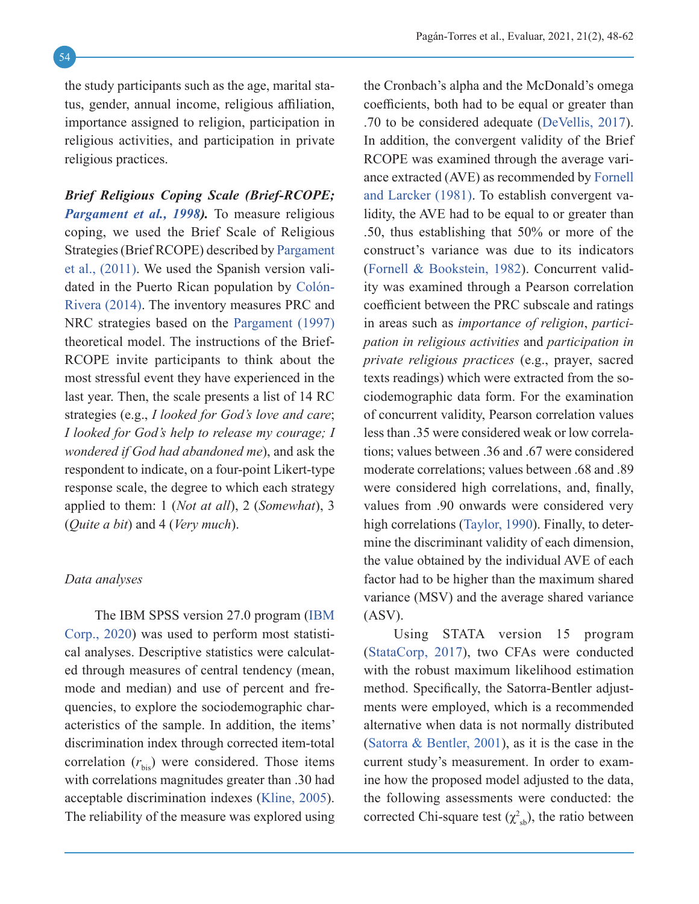the study participants such as the age, marital status, gender, annual income, religious affiliation, importance assigned to religion, participation in religious activities, and participation in private religious practices.

*Brief Religious Coping Scale (Brief-RCOPE; [Pargament et al., 1998\)](#page-14-5).* To measure religious coping, we used the Brief Scale of Religious Strategies (Brief RCOPE) described by [Pargament](#page-13-4) [et al., \(2011\)](#page-13-4). We used the Spanish version validated in the Puerto Rican population by Colón-Rivera (2014). The inventory measures PRC and NRC strategies based on the [Pargament \(1997\)](#page-13-3) theoretical model. The instructions of the Brief-RCOPE invite participants to think about the most stressful event they have experienced in the last year. Then, the scale presents a list of 14 RC strategies (e.g., *I looked for God's love and care*; *I looked for God's help to release my courage; I wondered if God had abandoned me*), and ask the respondent to indicate, on a four-point Likert-type response scale, the degree to which each strategy applied to them: 1 (*Not at all*), 2 (*Somewhat*), 3 (*Quite a bit*) and 4 (*Very much*).

#### *Data analyses*

The IBM SPSS version 27.0 program ([IBM](#page-13-10) [Corp., 2020](#page-13-10)) was used to perform most statistical analyses. Descriptive statistics were calculated through measures of central tendency (mean, mode and median) and use of percent and frequencies, to explore the sociodemographic characteristics of the sample. In addition, the items' discrimination index through corrected item-total correlation  $(r_{\text{bis}})$  were considered. Those items with correlations magnitudes greater than .30 had acceptable discrimination indexes ([Kline, 2005](#page-13-11)). The reliability of the measure was explored using the Cronbach's alpha and the McDonald's omega coefficients, both had to be equal or greater than .70 to be considered adequate ([DeVellis, 2017](#page-12-7)). In addition, the convergent validity of the Brief RCOPE was examined through the average variance extracted (AVE) as recommended by [Fornell](#page-12-8) [and Larcker \(1981\)](#page-12-8). To establish convergent validity, the AVE had to be equal to or greater than .50, thus establishing that 50% or more of the construct's variance was due to its indicators ([Fornell & Bookstein, 1982](#page-12-9)). Concurrent validity was examined through a Pearson correlation coefficient between the PRC subscale and ratings in areas such as *importance of religion*, *participation in religious activities* and *participation in private religious practices* (e.g., prayer, sacred texts readings) which were extracted from the sociodemographic data form. For the examination of concurrent validity, Pearson correlation values less than .35 were considered weak or low correlations; values between .36 and .67 were considered moderate correlations; values between .68 and .89 were considered high correlations, and, finally, values from .90 onwards were considered very high correlations ([Taylor, 1990](#page-14-6)). Finally, to determine the discriminant validity of each dimension, the value obtained by the individual AVE of each factor had to be higher than the maximum shared variance (MSV) and the average shared variance (ASV).

Using STATA version 15 program ([StataCorp, 2017](#page-14-7)), two CFAs were conducted with the robust maximum likelihood estimation method. Specifically, the Satorra-Bentler adjustments were employed, which is a recommended alternative when data is not normally distributed ([Satorra & Bentler, 2001](#page-14-8)), as it is the case in the current study's measurement. In order to examine how the proposed model adjusted to the data, the following assessments were conducted: the corrected Chi-square test ( $\chi^2_{sb}$ ), the ratio between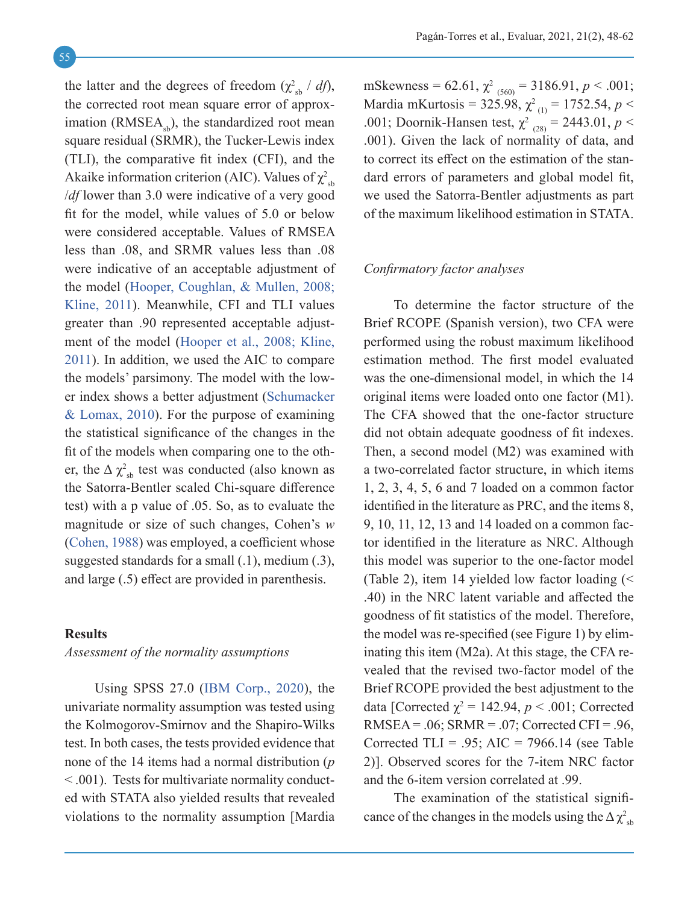the latter and the degrees of freedom  $(\chi^2_{sb} / df)$ , the corrected root mean square error of approximation ( $RMSEA<sub>sh</sub>$ ), the standardized root mean square residual (SRMR), the Tucker-Lewis index (TLI), the comparative fit index (CFI), and the Akaike information criterion (AIC). Values of  $\chi^2_{\rm sb}$ /*df* lower than 3.0 were indicative of a very good fit for the model, while values of 5.0 or below were considered acceptable. Values of RMSEA less than .08, and SRMR values less than .08 were indicative of an acceptable adjustment of the model ([Hooper, Coughlan, & Mullen, 2008;](#page-13-12) [Kline, 2011](#page-13-13)). Meanwhile, CFI and TLI values greater than .90 represented acceptable adjustment of the model ([Hooper et al., 2008;](#page-13-12) [Kline,](#page-13-13) [2011](#page-13-13)). In addition, we used the AIC to compare the models' parsimony. The model with the lower index shows a better adjustment ([Schumacker](#page-14-9) [& Lomax, 2010](#page-14-9)). For the purpose of examining the statistical significance of the changes in the fit of the models when comparing one to the other, the  $\Delta \chi^2_{\rm sb}$  test was conducted (also known as the Satorra-Bentler scaled Chi-square difference test) with a p value of .05. So, as to evaluate the magnitude or size of such changes, Cohen's *w* ([Cohen, 1988\)](#page-12-10) was employed, a coefficient whose suggested standards for a small (.1), medium (.3), and large (.5) effect are provided in parenthesis.

## <span id="page-7-0"></span>**Results**

## *Assessment of the normality assumptions*

Using SPSS 27.0 ([IBM Corp., 2020](#page-13-10)), the univariate normality assumption was tested using the Kolmogorov-Smirnov and the Shapiro-Wilks test. In both cases, the tests provided evidence that none of the 14 items had a normal distribution (*p* < .001). Tests for multivariate normality conducted with STATA also yielded results that revealed violations to the normality assumption [Mardia

mSkewness =  $62.61$ ,  $\chi^2$ <sub>(560)</sub> = 3186.91, *p* < .001; Mardia mKurtosis = 325.98, χ<sup>2</sup> (1) = 1752.54, *p* < .001; Doornik-Hansen test,  $\chi^2_{(28)} = 2443.01, p <$ .001). Given the lack of normality of data, and to correct its effect on the estimation of the standard errors of parameters and global model fit, we used the Satorra-Bentler adjustments as part of the maximum likelihood estimation in STATA.

#### *Confirmatory factor analyses*

To determine the factor structure of the Brief RCOPE (Spanish version), two CFA were performed using the robust maximum likelihood estimation method. The first model evaluated was the one-dimensional model, in which the 14 original items were loaded onto one factor (M1). The CFA showed that the one-factor structure did not obtain adequate goodness of fit indexes. Then, a second model (M2) was examined with a two-correlated factor structure, in which items 1, 2, 3, 4, 5, 6 and 7 loaded on a common factor identified in the literature as PRC, and the items 8, 9, 10, 11, 12, 13 and 14 loaded on a common factor identified in the literature as NRC. Although this model was superior to the one-factor model (Table 2), item 14 yielded low factor loading (< .40) in the NRC latent variable and affected the goodness of fit statistics of the model. Therefore, the model was re-specified (see Figure 1) by eliminating this item (M2a). At this stage, the CFA revealed that the revised two-factor model of the Brief RCOPE provided the best adjustment to the data [Corrected  $\chi^2 = 142.94$ ,  $p < .001$ ; Corrected RMSEA =  $.06$ ; SRMR =  $.07$ ; Corrected CFI =  $.96$ , Corrected TLI = .95; AIC = 7966.14 (see Table 2)]. Observed scores for the 7-item NRC factor and the 6-item version correlated at .99.

The examination of the statistical significance of the changes in the models using the  $\Delta \chi^2_{\rm sb}$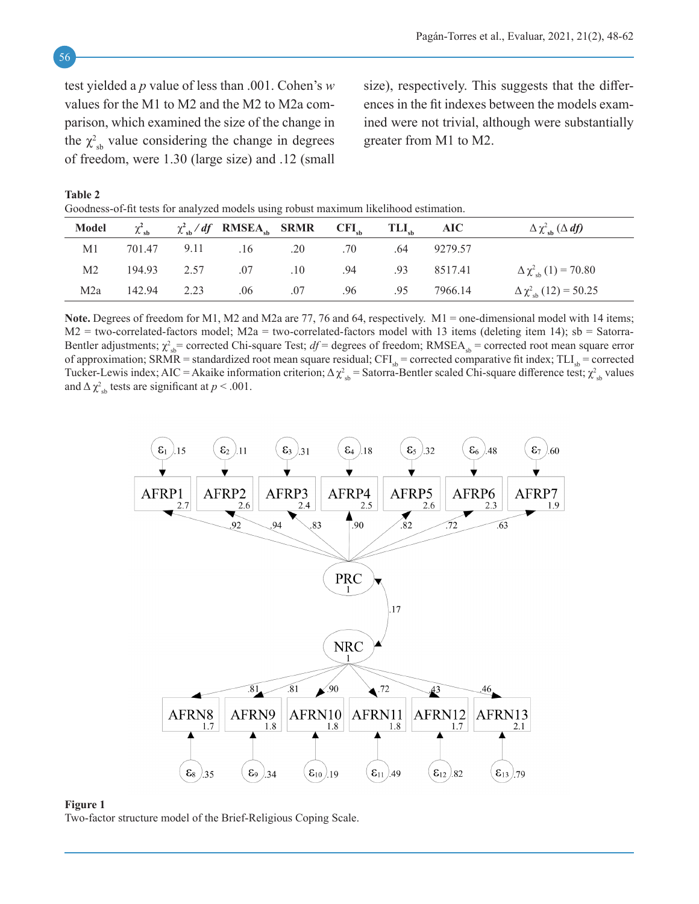test yielded a *p* value of less than .001. Cohen's *w* values for the M1 to M2 and the M2 to M2a comparison, which examined the size of the change in the  $\chi^2_{sb}$  value considering the change in degrees of freedom, were 1.30 (large size) and .12 (small

size), respectively. This suggests that the differences in the fit indexes between the models examined were not trivial, although were substantially greater from M1 to M2.

**Table 2**

Goodness-of-fit tests for analyzed models using robust maximum likelihood estimation.

| Model | $\chi^2_{\rm sh}$ | $\chi^2_{\alpha b}/df$ RMSEA <sub>ch</sub> SRMR CFI <sub>ch</sub> TLI <sub>ch</sub> AIC |                         |             | $\Delta \chi^2_{sh}$ ( $\Delta df$ )  |
|-------|-------------------|-----------------------------------------------------------------------------------------|-------------------------|-------------|---------------------------------------|
| M1    |                   | 701.47 9.11 .16 .20 .70                                                                 |                         | .64 9279.57 |                                       |
| M2    |                   | 194.93 2.57 .07 .10 .94                                                                 |                         | .93 8517.41 | $\Delta \chi^2_{\rm sh} (1) = 70.80$  |
| M2a   | 142.94 2.23       |                                                                                         | .06 .07 .96 .95 7966.14 |             | $\Delta \chi^2_{\rm sh} (12) = 50.25$ |

**Note.** Degrees of freedom for M1, M2 and M2a are 77, 76 and 64, respectively. M1 = one-dimensional model with 14 items;  $M2$  = two-correlated-factors model;  $M2a$  = two-correlated-factors model with 13 items (deleting item 14); sb = Satorra-Bentler adjustments;  $\chi^2_{sb}$  = corrected Chi-square Test;  $df$  = degrees of freedom; RMSEA<sub>sb</sub> = corrected root mean square error of approximation; SRMR = standardized root mean square residual;  $CFI_{sh}$  = corrected comparative fit index;  $TLI_{sh}$  = corrected Tucker-Lewis index; AIC = Akaike information criterion;  $\Delta \chi_{sb}^2$  = Satorra-Bentler scaled Chi-square difference test;  $\chi_{sb}^2$  values and  $\Delta \chi^2_{\rm sb}$  tests are significant at  $p < .001$ .



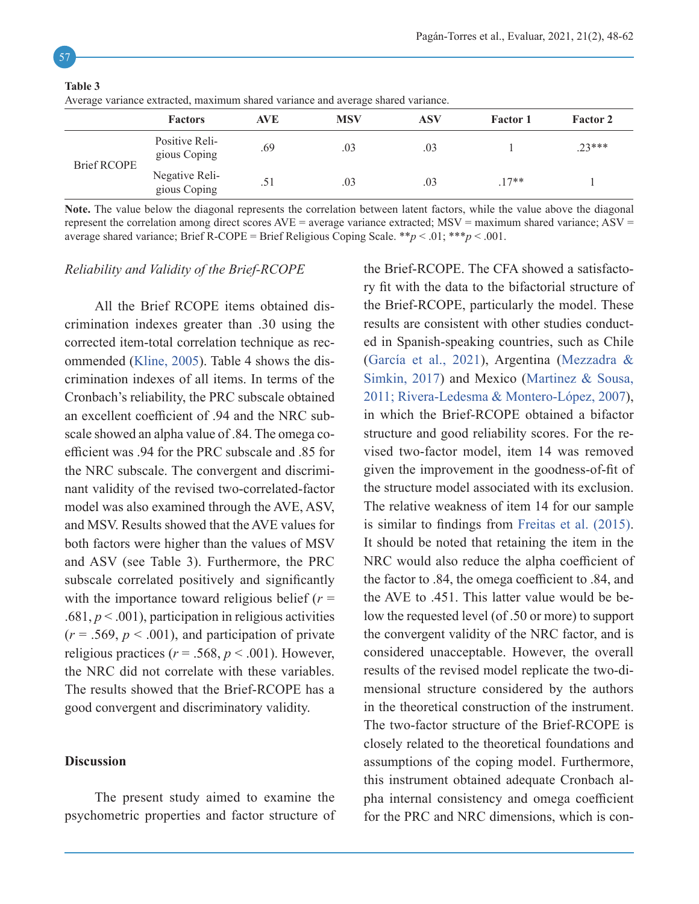| Twenter variance extracted, maximum shared variance and average shared variance. |                                |            |            |     |                 |                 |  |  |  |
|----------------------------------------------------------------------------------|--------------------------------|------------|------------|-----|-----------------|-----------------|--|--|--|
|                                                                                  | <b>Factors</b>                 | <b>AVE</b> | <b>MSV</b> | ASV | <b>Factor 1</b> | <b>Factor 2</b> |  |  |  |
| <b>Brief RCOPE</b>                                                               | Positive Reli-<br>gious Coping | .69        | .03        | .03 |                 | $.23***$        |  |  |  |
|                                                                                  | Negative Reli-<br>gious Coping | .51        | .03        | .03 | $.17**$         |                 |  |  |  |

**Table 3**

Average variance extracted, maximum shared variance and average shared variance.

**Note.** The value below the diagonal represents the correlation between latent factors, while the value above the diagonal represent the correlation among direct scores  $AVE =$  average variance extracted;  $MSV =$  maximum shared variance;  $ASV =$ average shared variance; Brief R-COPE = Brief Religious Coping Scale. \*\**p* < .01; \*\*\**p* < .001.

## *Reliability and Validity of the Brief-RCOPE*

All the Brief RCOPE items obtained discrimination indexes greater than .30 using the corrected item-total correlation technique as recommended [\(Kline, 2005](#page-13-11)). Table 4 shows the discrimination indexes of all items. In terms of the Cronbach's reliability, the PRC subscale obtained an excellent coefficient of .94 and the NRC subscale showed an alpha value of .84. The omega coefficient was .94 for the PRC subscale and .85 for the NRC subscale. The convergent and discriminant validity of the revised two-correlated-factor model was also examined through the AVE, ASV, and MSV. Results showed that the AVE values for both factors were higher than the values of MSV and ASV (see Table 3). Furthermore, the PRC subscale correlated positively and significantly with the importance toward religious belief  $(r =$  $.681, p \leq .001$ , participation in religious activities  $(r = .569, p < .001)$ , and participation of private religious practices ( $r = .568$ ,  $p < .001$ ). However, the NRC did not correlate with these variables. The results showed that the Brief-RCOPE has a good convergent and discriminatory validity.

#### <span id="page-9-0"></span>**Discussion**

The present study aimed to examine the psychometric properties and factor structure of the Brief-RCOPE. The CFA showed a satisfactory fit with the data to the bifactorial structure of the Brief-RCOPE, particularly the model. These results are consistent with other studies conducted in Spanish-speaking countries, such as Chile (García et al., 2021), Argentina ([Mezzadra &](#page-13-8) [Simkin, 2017\)](#page-13-8) and Mexico [\(Martinez & Sousa,](#page-13-7) [2011;](#page-13-7) Rivera-Ledesma & Montero-López, 2007), in which the Brief-RCOPE obtained a bifactor structure and good reliability scores. For the revised two-factor model, item 14 was removed given the improvement in the goodness-of-fit of the structure model associated with its exclusion. The relative weakness of item 14 for our sample is similar to findings from [Freitas et al. \(2015\).](#page-12-6) It should be noted that retaining the item in the NRC would also reduce the alpha coefficient of the factor to .84, the omega coefficient to .84, and the AVE to .451. This latter value would be below the requested level (of .50 or more) to support the convergent validity of the NRC factor, and is considered unacceptable. However, the overall results of the revised model replicate the two-dimensional structure considered by the authors in the theoretical construction of the instrument. The two-factor structure of the Brief-RCOPE is closely related to the theoretical foundations and assumptions of the coping model. Furthermore, this instrument obtained adequate Cronbach alpha internal consistency and omega coefficient for the PRC and NRC dimensions, which is con-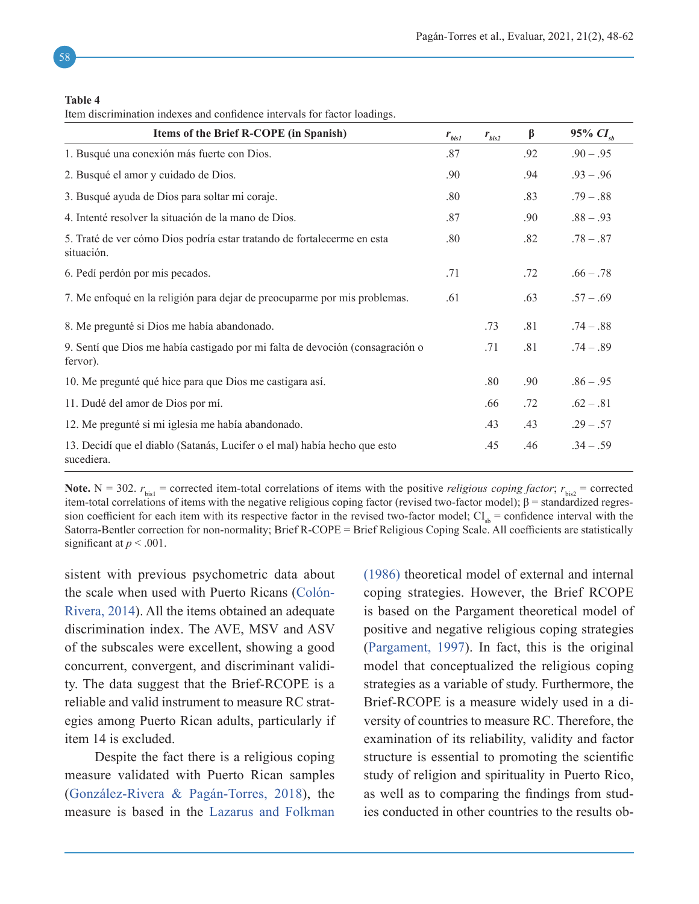#### **Table 4**

Item discrimination indexes and confidence intervals for factor loadings.

| Items of the Brief R-COPE (in Spanish)                                                    | $r_{\rm{bis1}}$ | $r_{bis2}$ | β   | 95% $CI_{ch}$ |
|-------------------------------------------------------------------------------------------|-----------------|------------|-----|---------------|
| 1. Busqué una conexión más fuerte con Dios.                                               | .87             |            | .92 | $.90 - .95$   |
| 2. Busqué el amor y cuidado de Dios.                                                      | .90             |            | .94 | $.93 - .96$   |
| 3. Busqué ayuda de Dios para soltar mi coraje.                                            | .80             |            | .83 | $.79-.88$     |
| 4. Intenté resolver la situación de la mano de Dios.                                      | .87             |            | .90 | $.88 - .93$   |
| 5. Traté de ver cómo Dios podría estar tratando de fortalecerme en esta<br>situación.     | .80             |            | .82 | $.78-.87$     |
| 6. Pedí perdón por mis pecados.                                                           | .71             |            | .72 | $.66 - .78$   |
| 7. Me enfoqué en la religión para dejar de preocuparme por mis problemas.                 | .61             |            | .63 | $.57-.69$     |
| 8. Me pregunté si Dios me había abandonado.                                               |                 | .73        | .81 | $.74-.88$     |
| 9. Sentí que Dios me había castigado por mi falta de devoción (consagración o<br>fervor). |                 | .71        | .81 | $.74-.89$     |
| 10. Me pregunté qué hice para que Dios me castigara así.                                  |                 | .80        | .90 | $.86 - .95$   |
| 11. Dudé del amor de Dios por mí.                                                         |                 | .66        | .72 | $.62-.81$     |
| 12. Me pregunté si mi iglesia me había abandonado.                                        |                 | .43        | .43 | $.29 - .57$   |
| 13. Decidí que el diablo (Satanás, Lucifer o el mal) había hecho que esto<br>sucediera.   |                 | .45        | .46 | $.34 - .59$   |

**Note.** N = 302.  $r_{\text{bis1}}$  = corrected item-total correlations of items with the positive *religious coping factor*;  $r_{\text{his2}}$  = corrected item-total correlations of items with the negative religious coping factor (revised two-factor model);  $β =$  standardized regression coefficient for each item with its respective factor in the revised two-factor model;  $CI_{sb} =$  confidence interval with the Satorra-Bentler correction for non-normality; Brief R-COPE = Brief Religious Coping Scale. All coefficients are statistically significant at  $p < .001$ .

sistent with previous psychometric data about the scale when used with Puerto Ricans (Colón-Rivera, 2014). All the items obtained an adequate discrimination index. The AVE, MSV and ASV of the subscales were excellent, showing a good concurrent, convergent, and discriminant validity. The data suggest that the Brief-RCOPE is a reliable and valid instrument to measure RC strategies among Puerto Rican adults, particularly if item 14 is excluded.

Despite the fact there is a religious coping measure validated with Puerto Rican samples (González-Rivera & Pagán-Torres, 2018), the measure is based in the [Lazarus and Folkman](#page-13-9) [\(1986\)](#page-13-9) theoretical model of external and internal coping strategies. However, the Brief RCOPE is based on the Pargament theoretical model of positive and negative religious coping strategies ([Pargament, 1997](#page-13-3)). In fact, this is the original model that conceptualized the religious coping strategies as a variable of study. Furthermore, the Brief-RCOPE is a measure widely used in a diversity of countries to measure RC. Therefore, the examination of its reliability, validity and factor structure is essential to promoting the scientific study of religion and spirituality in Puerto Rico, as well as to comparing the findings from studies conducted in other countries to the results ob-

58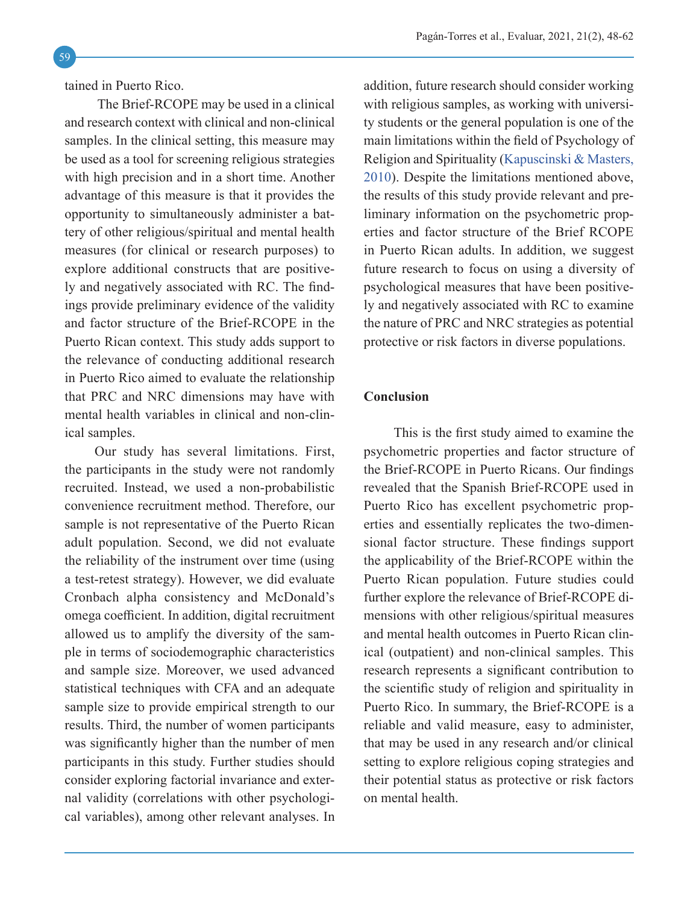tained in Puerto Rico.

 The Brief-RCOPE may be used in a clinical and research context with clinical and non-clinical samples. In the clinical setting, this measure may be used as a tool for screening religious strategies with high precision and in a short time. Another advantage of this measure is that it provides the opportunity to simultaneously administer a battery of other religious/spiritual and mental health measures (for clinical or research purposes) to explore additional constructs that are positively and negatively associated with RC. The findings provide preliminary evidence of the validity and factor structure of the Brief-RCOPE in the Puerto Rican context. This study adds support to the relevance of conducting additional research in Puerto Rico aimed to evaluate the relationship that PRC and NRC dimensions may have with mental health variables in clinical and non-clinical samples.

Our study has several limitations. First, the participants in the study were not randomly recruited. Instead, we used a non-probabilistic convenience recruitment method. Therefore, our sample is not representative of the Puerto Rican adult population. Second, we did not evaluate the reliability of the instrument over time (using a test-retest strategy). However, we did evaluate Cronbach alpha consistency and McDonald's omega coefficient. In addition, digital recruitment allowed us to amplify the diversity of the sample in terms of sociodemographic characteristics and sample size. Moreover, we used advanced statistical techniques with CFA and an adequate sample size to provide empirical strength to our results. Third, the number of women participants was significantly higher than the number of men participants in this study. Further studies should consider exploring factorial invariance and external validity (correlations with other psychological variables), among other relevant analyses. In

addition, future research should consider working with religious samples, as working with university students or the general population is one of the main limitations within the field of Psychology of Religion and Spirituality ([Kapuscinski & Masters,](#page-13-14) [2010](#page-13-14)). Despite the limitations mentioned above, the results of this study provide relevant and preliminary information on the psychometric properties and factor structure of the Brief RCOPE in Puerto Rican adults. In addition, we suggest future research to focus on using a diversity of psychological measures that have been positively and negatively associated with RC to examine the nature of PRC and NRC strategies as potential protective or risk factors in diverse populations.

## <span id="page-11-0"></span>**Conclusion**

This is the first study aimed to examine the psychometric properties and factor structure of the Brief-RCOPE in Puerto Ricans. Our findings revealed that the Spanish Brief-RCOPE used in Puerto Rico has excellent psychometric properties and essentially replicates the two-dimensional factor structure. These findings support the applicability of the Brief-RCOPE within the Puerto Rican population. Future studies could further explore the relevance of Brief-RCOPE dimensions with other religious/spiritual measures and mental health outcomes in Puerto Rican clinical (outpatient) and non-clinical samples. This research represents a significant contribution to the scientific study of religion and spirituality in Puerto Rico. In summary, the Brief-RCOPE is a reliable and valid measure, easy to administer, that may be used in any research and/or clinical setting to explore religious coping strategies and their potential status as protective or risk factors on mental health.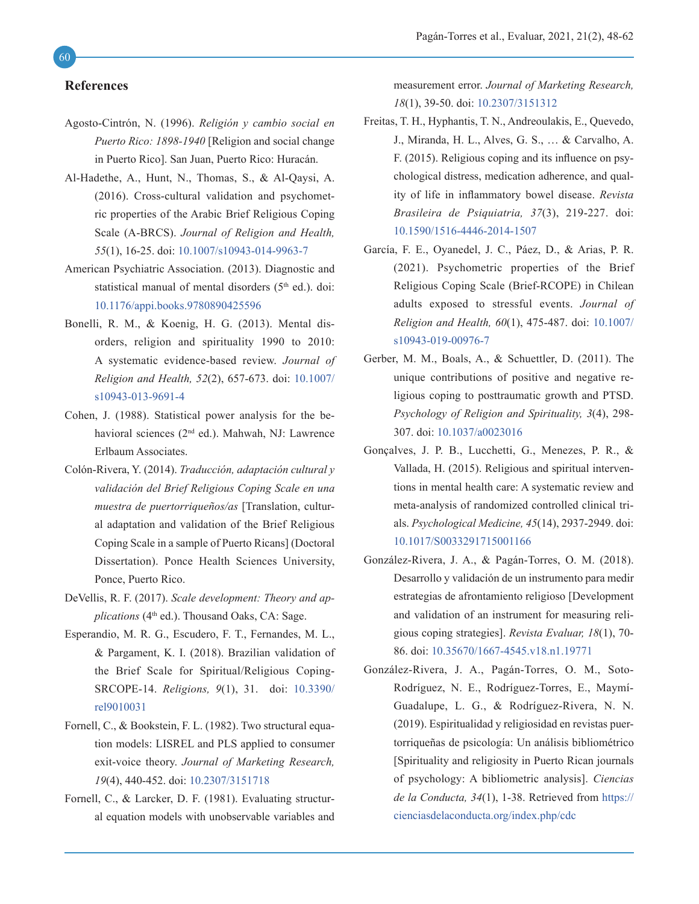#### <span id="page-12-0"></span>**References**

- Agosto-Cintrón, N. (1996). *Religión y cambio social en Puerto Rico: 1898-1940* [Religion and social change in Puerto Rico]. San Juan, Puerto Rico: Huracán.
- <span id="page-12-4"></span>Al-Hadethe, A., Hunt, N., Thomas, S., & Al-Qaysi, A. (2016). Cross-cultural validation and psychometric properties of the Arabic Brief Religious Coping Scale (A-BRCS). *Journal of Religion and Health, 55*(1), 16-25. doi: [10.1007/s10943-014-9963-7](https://link.springer.com/article/10.1007/s10943-014-9963-7)
- <span id="page-12-3"></span>American Psychiatric Association. (2013). Diagnostic and statistical manual of mental disorders (5<sup>th</sup> ed.). doi: [10.1176/appi.books.9780890425596](https://dsm.psychiatryonline.org/doi/book/10.1176/appi.books.9780890425596)
- <span id="page-12-2"></span>Bonelli, R. M., & Koenig, H. G. (2013). Mental disorders, religion and spirituality 1990 to 2010: A systematic evidence-based review. *Journal of Religion and Health, 52*(2), 657-673. doi: [10.1007/](https://link.springer.com/article/10.1007%2Fs10943-013-9691-4) [s10943-013-9691-4](https://link.springer.com/article/10.1007%2Fs10943-013-9691-4)
- <span id="page-12-10"></span>Cohen, J. (1988). Statistical power analysis for the behavioral sciences (2nd ed.). Mahwah, NJ: Lawrence Erlbaum Associates.
- Colón-Rivera, Y. (2014). *Traducción, adaptación cultural y validación del Brief Religious Coping Scale en una muestra de puertorriqueños/as* [Translation, cultural adaptation and validation of the Brief Religious Coping Scale in a sample of Puerto Ricans] (Doctoral Dissertation). Ponce Health Sciences University, Ponce, Puerto Rico.
- <span id="page-12-7"></span>DeVellis, R. F. (2017). *Scale development: Theory and applications* (4<sup>th</sup> ed.). Thousand Oaks, CA: Sage.
- <span id="page-12-5"></span>Esperandio, M. R. G., Escudero, F. T., Fernandes, M. L., & Pargament, K. I. (2018). Brazilian validation of the Brief Scale for Spiritual/Religious Coping-SRCOPE-14. *Religions, 9*(1), 31. doi: [10.3390/](https://www.mdpi.com/2077-1444/9/1/31) [rel9010031](https://www.mdpi.com/2077-1444/9/1/31)
- <span id="page-12-9"></span>Fornell, C., & Bookstein, F. L. (1982). Two structural equation models: LISREL and PLS applied to consumer exit-voice theory. *Journal of Marketing Research, 19*(4), 440-452. doi: [10.2307/3151718](https://www.jstor.org/stable/3151718?origin=crossref)
- <span id="page-12-8"></span>Fornell, C., & Larcker, D. F. (1981). Evaluating structural equation models with unobservable variables and

measurement error. *Journal of Marketing Research, 18*(1), 39-50. doi: [10.2307/3151312](https://www.jstor.org/stable/3151312?origin=crossref)

- <span id="page-12-6"></span>Freitas, T. H., Hyphantis, T. N., Andreoulakis, E., Quevedo, J., Miranda, H. L., Alves, G. S., … & Carvalho, A. F. (2015). Religious coping and its influence on psychological distress, medication adherence, and quality of life in inflammatory bowel disease. *Revista Brasileira de Psiquiatria, 37*(3), 219-227. doi: [10.1590/1516-4446-2014-1507](https://www.scielo.br/j/rbp/a/fQDZzZ6bKQDx6bMzKmrbqjt/?lang=en)
- García, F. E., Oyanedel, J. C., Páez, D., & Arias, P. R. (2021). Psychometric properties of the Brief Religious Coping Scale (Brief-RCOPE) in Chilean adults exposed to stressful events. *Journal of Religion and Health, 60*(1), 475-487. doi: [10.1007/](https://link.springer.com/article/10.1007%2Fs10943-019-00976-7) [s10943-019-00976-7](https://link.springer.com/article/10.1007%2Fs10943-019-00976-7)
- <span id="page-12-1"></span>Gerber, M. M., Boals, A., & Schuettler, D. (2011). The unique contributions of positive and negative religious coping to posttraumatic growth and PTSD. *Psychology of Religion and Spirituality, 3*(4), 298- 307. doi: [10.1037/a0023016](https://doi.apa.org/doiLanding?doi=10.1037%2Fa0023016)
- Gonçalves, J. P. B., Lucchetti, G., Menezes, P. R., & Vallada, H. (2015). Religious and spiritual interventions in mental health care: A systematic review and meta-analysis of randomized controlled clinical trials. *Psychological Medicine, 45*(14), 2937-2949. doi: [10.1017/S0033291715001166](https://www.cambridge.org/core/journals/psychological-medicine/article/religious-and-spiritual-interventions-in-mental-health-care-a-systematic-review-and-metaanalysis-of-randomized-controlled-clinical-trials/B26314DC89133A3FA4CC4220B6A5FBCF)
- González-Rivera, J. A., & Pagán-Torres, O. M. (2018). Desarrollo y validación de un instrumento para medir estrategias de afrontamiento religioso [Development and validation of an instrument for measuring religious coping strategies]. *Revista Evaluar, 18*(1), 70- 86. doi: [10.35670/1667-4545.v18.n1.19771](https://revistas.unc.edu.ar/index.php/revaluar/article/view/19771)
- González-Rivera, J. A., Pagán-Torres, O. M., Soto-Rodríguez, N. E., Rodríguez-Torres, E., Maymí-Guadalupe, L. G., & Rodríguez-Rivera, N. N. (2019). Espiritualidad y religiosidad en revistas puertorriqueñas de psicología: Un análisis bibliométrico [Spirituality and religiosity in Puerto Rican journals of psychology: A bibliometric analysis]. *Ciencias de la Conducta, 34*(1), 1-38. Retrieved from [https://](https://cienciasdelaconducta.org/index.php/cdc) [cienciasdelaconducta.org/index.php/cdc](https://cienciasdelaconducta.org/index.php/cdc)

60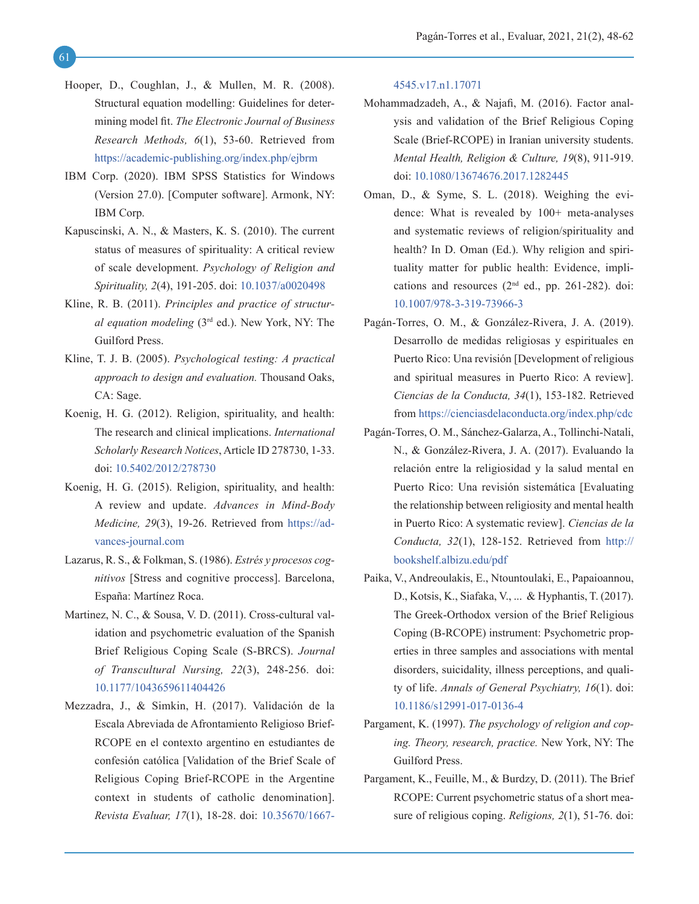- <span id="page-13-12"></span>Hooper, D., Coughlan, J., & Mullen, M. R. (2008). Structural equation modelling: Guidelines for determining model fit. *The Electronic Journal of Business Research Methods, 6*(1), 53-60. Retrieved from <https://academic-publishing.org/index.php/ejbrm>
- <span id="page-13-10"></span>IBM Corp. (2020). IBM SPSS Statistics for Windows (Version 27.0). [Computer software]. Armonk, NY: IBM Corp.
- <span id="page-13-14"></span>Kapuscinski, A. N., & Masters, K. S. (2010). The current status of measures of spirituality: A critical review of scale development. *Psychology of Religion and Spirituality, 2*(4), 191-205. doi: [10.1037/a0020498](https://doi.apa.org/doiLanding?doi=10.1037%2Fa0020498)
- <span id="page-13-13"></span>Kline, R. B. (2011). *Principles and practice of structural equation modeling* (3rd ed.). New York, NY: The Guilford Press.
- <span id="page-13-11"></span>Kline, T. J. B. (2005). *Psychological testing: A practical approach to design and evaluation.* Thousand Oaks, CA: Sage.
- <span id="page-13-0"></span>Koenig, H. G. (2012). Religion, spirituality, and health: The research and clinical implications. *International Scholarly Research Notices*, Article ID 278730, 1-33. doi: [10.5402/2012/278730](https://www.hindawi.com/journals/isrn/2012/278730/)
- <span id="page-13-1"></span>Koenig, H. G. (2015). Religion, spirituality, and health: A review and update. *Advances in Mind-Body Medicine, 29*(3), 19-26. Retrieved from [https://ad](https://advances-journal.com)[vances-journal.com](https://advances-journal.com)
- <span id="page-13-9"></span>Lazarus, R. S., & Folkman, S. (1986). *Estrés y procesos cognitivos* [Stress and cognitive proccess]. Barcelona, España: Martínez Roca.
- <span id="page-13-7"></span>Martinez, N. C., & Sousa, V. D. (2011). Cross-cultural validation and psychometric evaluation of the Spanish Brief Religious Coping Scale (S-BRCS). *Journal of Transcultural Nursing, 22*(3), 248-256. doi: [10.1177/1043659611404426](https://journals.sagepub.com/doi/10.1177/1043659611404426)
- <span id="page-13-8"></span>Mezzadra, J., & Simkin, H. (2017). Validación de la Escala Abreviada de Afrontamiento Religioso Brief-RCOPE en el contexto argentino en estudiantes de confesión católica [Validation of the Brief Scale of Religious Coping Brief-RCOPE in the Argentine context in students of catholic denomination]. *Revista Evaluar, 17*(1), 18-28. doi: [10.35670/1667-](https://revistas.unc.edu.ar/index.php/revaluar/article/view/17071)

[4545.v17.n1.17071](https://revistas.unc.edu.ar/index.php/revaluar/article/view/17071) 

- <span id="page-13-5"></span>Mohammadzadeh, A., & Najafi, M. (2016). Factor analysis and validation of the Brief Religious Coping Scale (Brief-RCOPE) in Iranian university students. *Mental Health, Religion & Culture, 19*(8), 911-919. doi: [10.1080/13674676.2017.1282445](https://www.tandfonline.com/doi/abs/10.1080/13674676.2017.1282445?journalCode=cmhr20)
- <span id="page-13-2"></span>Oman, D., & Syme, S. L. (2018). Weighing the evidence: What is revealed by 100+ meta-analyses and systematic reviews of religion/spirituality and health? In D. Oman (Ed.). Why religion and spirituality matter for public health: Evidence, implications and resources  $(2<sup>nd</sup>$  ed., pp. 261-282). doi: [10.1007/978-3-319-73966-3](https://link.springer.com/book/10.1007%2F978-3-319-73966-3)
- Pagán-Torres, O. M., & González-Rivera, J. A. (2019). Desarrollo de medidas religiosas y espirituales en Puerto Rico: Una revisión [Development of religious and spiritual measures in Puerto Rico: A review]. *Ciencias de la Conducta, 34*(1), 153-182. Retrieved from <https://cienciasdelaconducta.org/index.php/cdc>
- Pagán-Torres, O. M., Sánchez-Galarza, A., Tollinchi-Natali, N., & González-Rivera, J. A. (2017). Evaluando la relación entre la religiosidad y la salud mental en Puerto Rico: Una revisión sistemática [Evaluating the relationship between religiosity and mental health in Puerto Rico: A systematic review]. *Ciencias de la Conducta, 32*(1), 128-152. Retrieved from [http://](http://bookshelf.albizu.edu/pdf) [bookshelf.albizu.edu/pdf](http://bookshelf.albizu.edu/pdf)
- <span id="page-13-6"></span>Paika, V., Andreoulakis, E., Ntountoulaki, E., Papaioannou, D., Kotsis, K., Siafaka, V., ... & Hyphantis, T. (2017). The Greek-Orthodox version of the Brief Religious Coping (B-RCOPE) instrument: Psychometric properties in three samples and associations with mental disorders, suicidality, illness perceptions, and quality of life. *Annals of General Psychiatry, 16*(1). doi: [10.1186/s12991-017-0136-4](https://annals-general-psychiatry.biomedcentral.com/articles/10.1186/s12991-017-0136-4)
- <span id="page-13-3"></span>Pargament, K. (1997). *The psychology of religion and coping. Theory, research, practice.* New York, NY: The Guilford Press.
- <span id="page-13-4"></span>Pargament, K., Feuille, M., & Burdzy, D. (2011). The Brief RCOPE: Current psychometric status of a short measure of religious coping. *Religions, 2*(1), 51-76. doi: